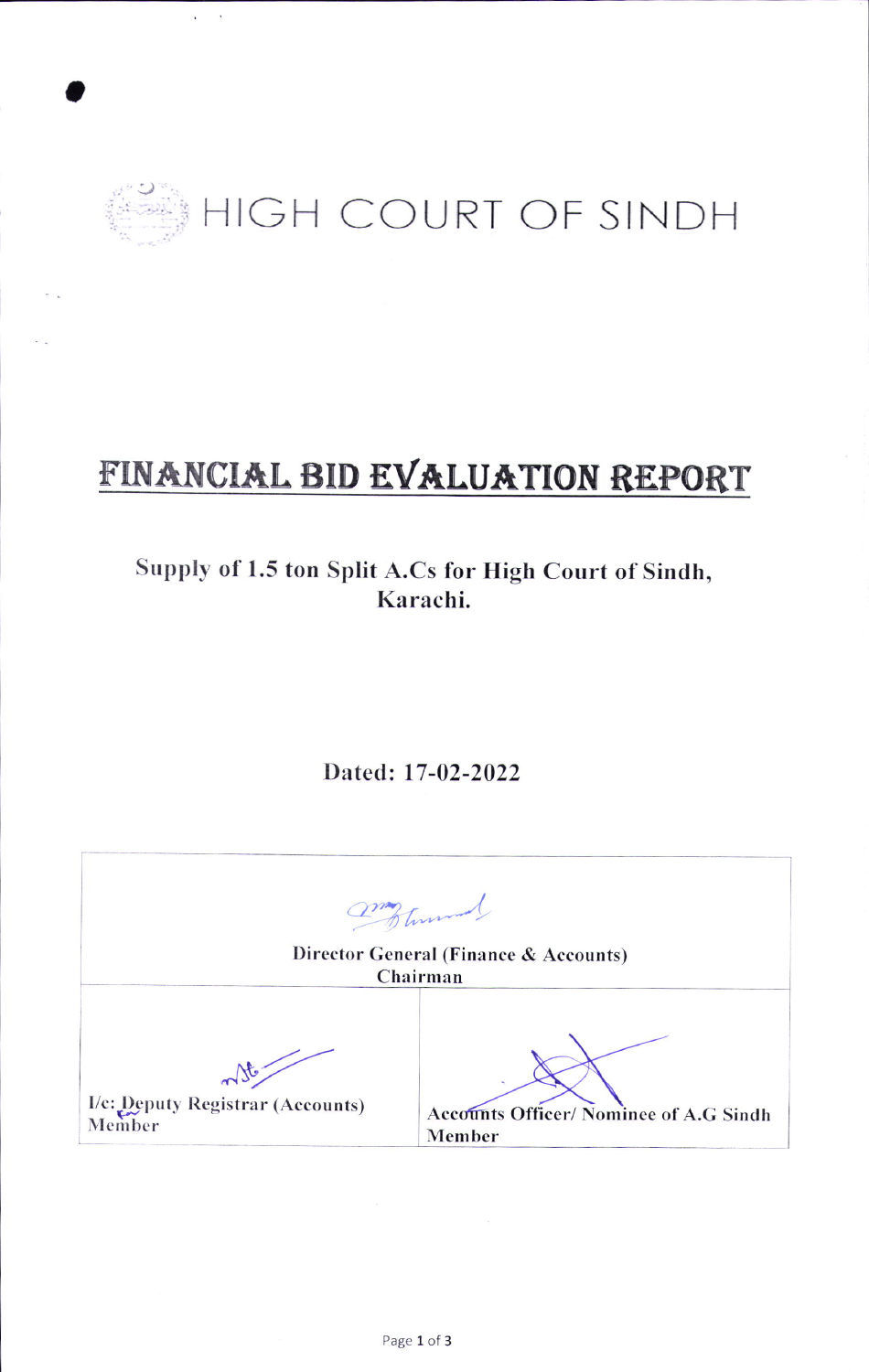

# FINANCIAL BID EVALUATION REPORT

## Supply of 1.5 ton Split A.Cs for High Court of Sindh, Karachi.

Dated: 17-02-2022

| Frances<br>Director General (Finance & Accounts)<br>Chairman |                                                 |  |  |
|--------------------------------------------------------------|-------------------------------------------------|--|--|
|                                                              |                                                 |  |  |
| I/c: Deputy Registrar (Accounts)<br>Member                   | Accounts Officer/Nominee of A.G Sindh<br>Member |  |  |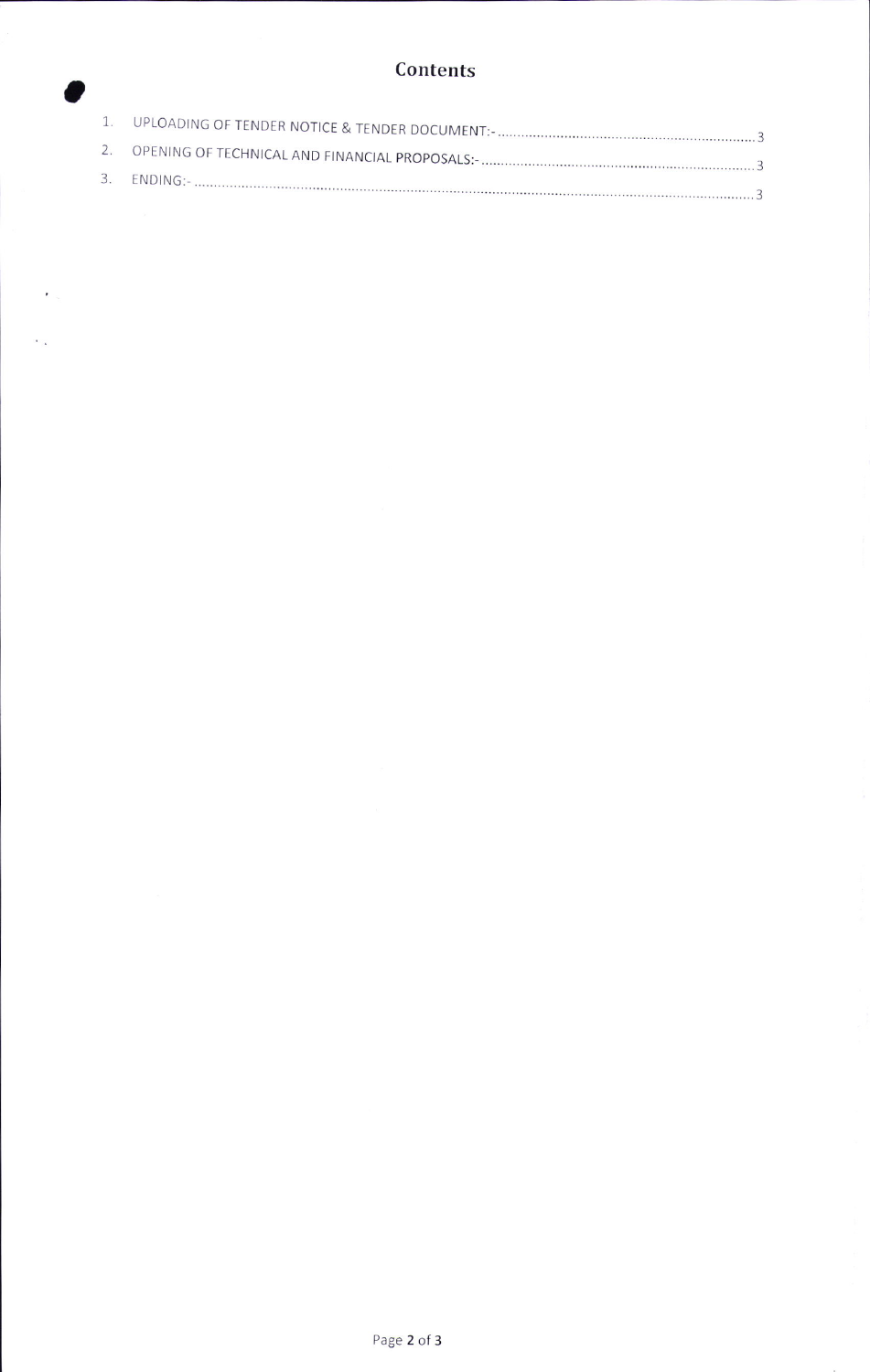### Contents

o

 $\mathbf{z}_{\rm{max}}$ 

 $\epsilon_{\rm{in}}$